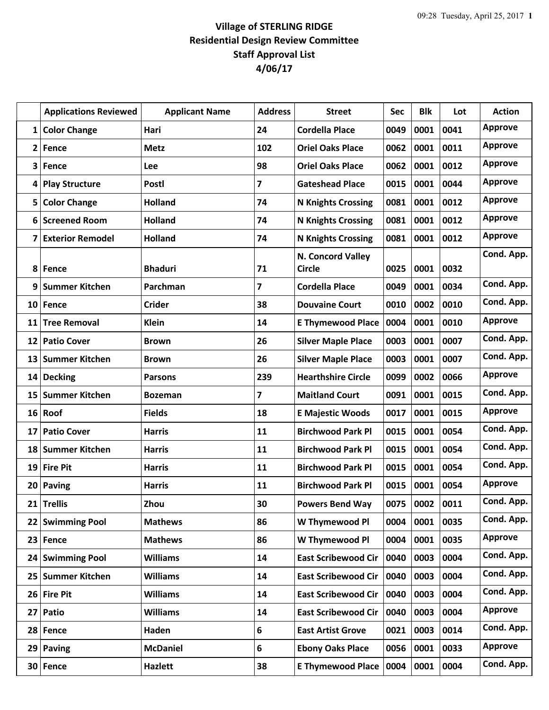## **Village of STERLING RIDGE Residential Design Review Committee Staff Approval List 4/06/17**

|                 | <b>Applications Reviewed</b> | <b>Applicant Name</b> | <b>Address</b> | <b>Street</b>                      | Sec  | <b>Blk</b> | Lot  | <b>Action</b>  |
|-----------------|------------------------------|-----------------------|----------------|------------------------------------|------|------------|------|----------------|
| 1               | <b>Color Change</b>          | Hari                  | 24             | <b>Cordella Place</b>              | 0049 | 0001       | 0041 | <b>Approve</b> |
| $\overline{2}$  | <b>Fence</b>                 | <b>Metz</b>           | 102            | <b>Oriel Oaks Place</b>            | 0062 | 0001       | 0011 | <b>Approve</b> |
| 3               | Fence                        | <b>Lee</b>            | 98             | <b>Oriel Oaks Place</b>            | 0062 | 0001       | 0012 | <b>Approve</b> |
| 4               | <b>Play Structure</b>        | Postl                 | 7              | <b>Gateshead Place</b>             | 0015 | 0001       | 0044 | <b>Approve</b> |
| 5               | <b>Color Change</b>          | <b>Holland</b>        | 74             | <b>N Knights Crossing</b>          | 0081 | 0001       | 0012 | <b>Approve</b> |
| 6               | <b>Screened Room</b>         | <b>Holland</b>        | 74             | <b>N Knights Crossing</b>          | 0081 | 0001       | 0012 | <b>Approve</b> |
| 7               | <b>Exterior Remodel</b>      | <b>Holland</b>        | 74             | <b>N Knights Crossing</b>          | 0081 | 0001       | 0012 | <b>Approve</b> |
| 8               | Fence                        | <b>Bhaduri</b>        | 71             | N. Concord Valley<br><b>Circle</b> | 0025 | 0001       | 0032 | Cond. App.     |
| 9               | <b>Summer Kitchen</b>        | Parchman              | 7              | <b>Cordella Place</b>              | 0049 | 0001       | 0034 | Cond. App.     |
| 10              | Fence                        | <b>Crider</b>         | 38             | <b>Douvaine Court</b>              | 0010 | 0002       | 0010 | Cond. App.     |
| 11              | <b>Tree Removal</b>          | <b>Klein</b>          | 14             | <b>E Thymewood Place</b>           | 0004 | 0001       | 0010 | Approve        |
| 12              | <b>Patio Cover</b>           | <b>Brown</b>          | 26             | <b>Silver Maple Place</b>          | 0003 | 0001       | 0007 | Cond. App.     |
| 13              | <b>Summer Kitchen</b>        | <b>Brown</b>          | 26             | <b>Silver Maple Place</b>          | 0003 | 0001       | 0007 | Cond. App.     |
| 14              | <b>Decking</b>               | <b>Parsons</b>        | 239            | <b>Hearthshire Circle</b>          | 0099 | 0002       | 0066 | <b>Approve</b> |
| 15              | <b>Summer Kitchen</b>        | <b>Bozeman</b>        | 7              | <b>Maitland Court</b>              | 0091 | 0001       | 0015 | Cond. App.     |
| 16              | Roof                         | <b>Fields</b>         | 18             | <b>E Majestic Woods</b>            | 0017 | 0001       | 0015 | <b>Approve</b> |
| 17              | <b>Patio Cover</b>           | <b>Harris</b>         | 11             | <b>Birchwood Park Pl</b>           | 0015 | 0001       | 0054 | Cond. App.     |
| 18              | <b>Summer Kitchen</b>        | <b>Harris</b>         | 11             | <b>Birchwood Park Pl</b>           | 0015 | 0001       | 0054 | Cond. App.     |
| 19              | <b>Fire Pit</b>              | <b>Harris</b>         | 11             | <b>Birchwood Park Pl</b>           | 0015 | 0001       | 0054 | Cond. App.     |
|                 | 20 Paving                    | <b>Harris</b>         | 11             | <b>Birchwood Park Pl</b>           | 0015 | 0001       | 0054 | <b>Approve</b> |
| 21              | <b>Trellis</b>               | Zhou                  | 30             | <b>Powers Bend Way</b>             | 0075 | 0002       | 0011 | Cond. App.     |
| 22              | <b>Swimming Pool</b>         | <b>Mathews</b>        | 86             | W Thymewood Pl                     | 0004 | 0001       | 0035 | Cond. App.     |
| 23              | Fence                        | <b>Mathews</b>        | 86             | W Thymewood Pl                     | 0004 | 0001       | 0035 | <b>Approve</b> |
| 24 <sub>1</sub> | <b>Swimming Pool</b>         | <b>Williams</b>       | 14             | <b>East Scribewood Cir</b>         | 0040 | 0003       | 0004 | Cond. App.     |
| 25              | <b>Summer Kitchen</b>        | <b>Williams</b>       | 14             | <b>East Scribewood Cir</b>         | 0040 | 0003       | 0004 | Cond. App.     |
| 26 <sup>1</sup> | <b>Fire Pit</b>              | <b>Williams</b>       | 14             | <b>East Scribewood Cir</b>         | 0040 | 0003       | 0004 | Cond. App.     |
| 27              | Patio                        | <b>Williams</b>       | 14             | <b>East Scribewood Cir</b>         | 0040 | 0003       | 0004 | <b>Approve</b> |
| 28              | Fence                        | Haden                 | 6              | <b>East Artist Grove</b>           | 0021 | 0003       | 0014 | Cond. App.     |
| 29              | <b>Paving</b>                | <b>McDaniel</b>       | 6              | <b>Ebony Oaks Place</b>            | 0056 | 0001       | 0033 | <b>Approve</b> |
|                 | 30 Fence                     | <b>Hazlett</b>        | 38             | <b>E Thymewood Place</b>           | 0004 | 0001       | 0004 | Cond. App.     |